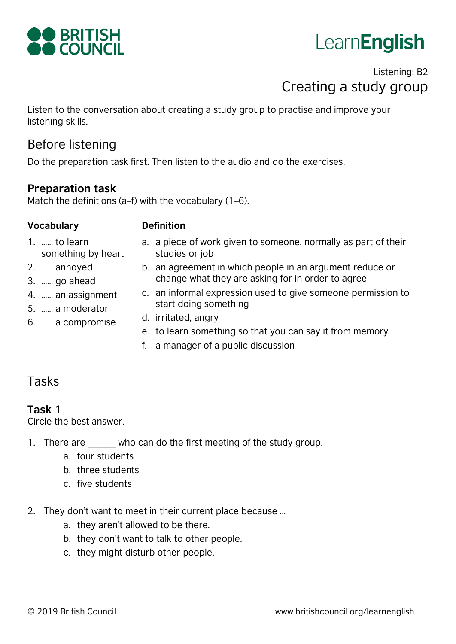

# LearnEnglish

# Listening: B2 Creating a study group

Listen to the conversation about creating a study group to practise and improve your listening skills.

# Before listening

Do the preparation task first. Then listen to the audio and do the exercises.

#### **Preparation task**

Match the definitions (a–f) with the vocabulary (1–6).

#### **Vocabulary Definition**

- 1. …… to learn something by heart
- 2. …… annoyed
- 3. …… go ahead
- 4. …… an assignment
- 5. …… a moderator
- 6. …… a compromise
- a. a piece of work given to someone, normally as part of their studies or job
- b. an agreement in which people in an argument reduce or change what they are asking for in order to agree
- c. an informal expression used to give someone permission to start doing something
- d. irritated, angry
- e. to learn something so that you can say it from memory
- f. a manager of a public discussion

# Tasks

### **Task 1**

Circle the best answer.

- 1. There are who can do the first meeting of the study group.
	- a. four students
	- b. three students
	- c. five students
- 2. They don't want to meet in their current place because …
	- a. they aren't allowed to be there.
	- b. they don't want to talk to other people.
	- c. they might disturb other people.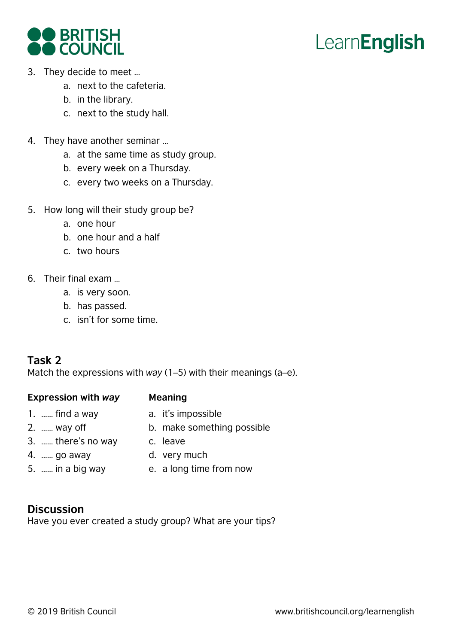



- 3. They decide to meet …
	- a. next to the cafeteria.
	- b. in the library.
	- c. next to the study hall.
- 4. They have another seminar …
	- a. at the same time as study group.
	- b. every week on a Thursday.
	- c. every two weeks on a Thursday.
- 5. How long will their study group be?
	- a. one hour
	- b. one hour and a half
	- c. two hours
- 6. Their final exam …
	- a. is very soon.
	- b. has passed.
	- c. isn't for some time.

### **Task 2**

Match the expressions with *way* (1–5) with their meanings (a–e).

#### **Expression with** *way* **Meaning**

- 1. …… find a way
- a. it's impossible
- 2. …… way off
- 3. …… there's no way c. leave
- 4. …… go away
- 5. …… in a big way
- d. very much
- e. a long time from now

b. make something possible

### **Discussion**

Have you ever created a study group? What are your tips?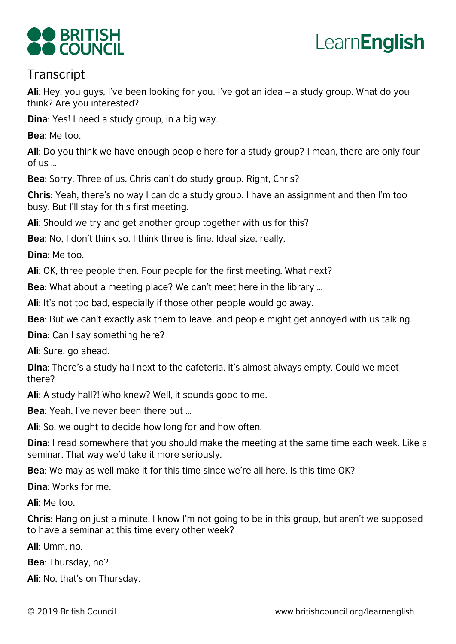



## **Transcript**

**Ali**: Hey, you guys, I've been looking for you. I've got an idea – a study group. What do you think? Are you interested?

**Dina**: Yes! I need a study group, in a big way.

**Bea**: Me too.

**Ali**: Do you think we have enough people here for a study group? I mean, there are only four of us …

**Bea**: Sorry. Three of us. Chris can't do study group. Right, Chris?

**Chris**: Yeah, there's no way I can do a study group. I have an assignment and then I'm too busy. But I'll stay for this first meeting.

**Ali**: Should we try and get another group together with us for this?

**Bea**: No, I don't think so. I think three is fine. Ideal size, really.

**Dina**: Me too.

**Ali**: OK, three people then. Four people for the first meeting. What next?

**Bea**: What about a meeting place? We can't meet here in the library …

**Ali**: It's not too bad, especially if those other people would go away.

**Bea**: But we can't exactly ask them to leave, and people might get annoyed with us talking.

**Dina**: Can I say something here?

**Ali**: Sure, go ahead.

**Dina**: There's a study hall next to the cafeteria. It's almost always empty. Could we meet there?

**Ali**: A study hall?! Who knew? Well, it sounds good to me.

**Bea**: Yeah. I've never been there but …

**Ali**: So, we ought to decide how long for and ho w often.

**Dina**: I read somewhere that you should make the meeting at the same time each week. Like a seminar. That way we'd take it more seriously.

**Bea**: We may as well make it for this time since we're all here. Is this time OK?

**Dina**: Works for me.

**Ali**: Me too.

**Chris**: Hang on just a minute. I know I'm not going to be in this group, but aren't we supposed to have a seminar at this time every other week ?

**Ali**: Umm, no.

**Bea**: Thursday, no?

**Ali**: No, that's on Thursday.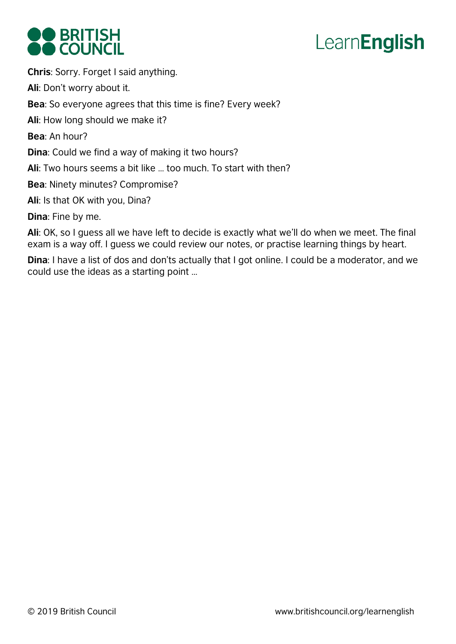

# LearnEnglish

**Chris**: Sorry. Forget I said anything. **Ali**: Don't worry about it. **Bea**: So everyone agrees that this time is fine? Every week? **Ali**: How long should we make it? **Bea**: An hour? **Dina**: Could we find a way of making it two hours? **Ali**: Two hours seems a bit like … too much. To start with then? **Bea**: Ninety minutes? Compromise? **Ali**: Is that OK with you, Dina? **Dina**: Fine by me.

**Ali**: OK, so I guess all we have left to decide is exactly what we'll do when we meet. The final exam is a way off. I guess we could review our notes, or practise learning things by heart.

**Dina**: I have a list of dos and don'ts actually that I got online. I could be a moderator, and we could use the ideas as a starting point …